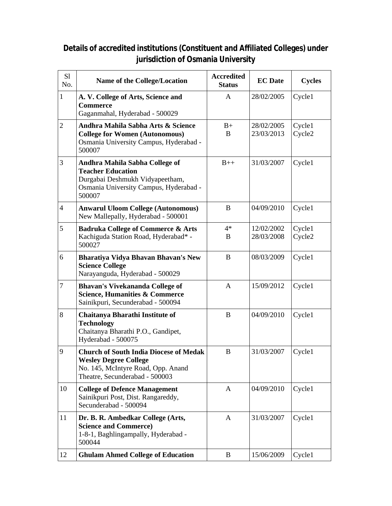## **Details of accredited institutions (Constituent and Affiliated Colleges) under jurisdiction of Osmania University**

| S1<br>No.      | <b>Name of the College/Location</b>                                                                                                                   | <b>Accredited</b><br><b>Status</b> | <b>EC</b> Date           | <b>Cycles</b>                |
|----------------|-------------------------------------------------------------------------------------------------------------------------------------------------------|------------------------------------|--------------------------|------------------------------|
| $\mathbf{1}$   | A. V. College of Arts, Science and<br><b>Commerce</b><br>Gaganmahal, Hyderabad - 500029                                                               | A                                  | 28/02/2005               | Cycle1                       |
| $\overline{2}$ | Andhra Mahila Sabha Arts & Science<br><b>College for Women (Autonomous)</b><br>Osmania University Campus, Hyderabad -<br>500007                       | $B+$<br>B                          | 28/02/2005<br>23/03/2013 | Cycle1<br>Cycle <sub>2</sub> |
| 3              | Andhra Mahila Sabha College of<br><b>Teacher Education</b><br>Durgabai Deshmukh Vidyapeetham,<br>Osmania University Campus, Hyderabad -<br>500007     | $B++$                              | 31/03/2007               | Cycle1                       |
| $\overline{4}$ | <b>Anwarul Uloom College (Autonomous)</b><br>New Mallepally, Hyderabad - 500001                                                                       | B                                  | 04/09/2010               | Cycle1                       |
| 5              | <b>Badruka College of Commerce &amp; Arts</b><br>Kachiguda Station Road, Hyderabad* -<br>500027                                                       | $4*$<br>B                          | 12/02/2002<br>28/03/2008 | Cycle1<br>Cycle2             |
| 6              | Bharatiya Vidya Bhavan Bhavan's New<br><b>Science College</b><br>Narayanguda, Hyderabad - 500029                                                      | B                                  | 08/03/2009               | Cycle1                       |
| 7              | <b>Bhavan's Vivekananda College of</b><br><b>Science, Humanities &amp; Commerce</b><br>Sainikpuri, Secunderabad - 500094                              | A                                  | 15/09/2012               | Cycle1                       |
| 8              | <b>Chaitanya Bharathi Institute of</b><br><b>Technology</b><br>Chaitanya Bharathi P.O., Gandipet,<br>Hyderabad - 500075                               | B                                  | 04/09/2010               | Cycle1                       |
| 9              | <b>Church of South India Diocese of Medak</b><br><b>Wesley Degree College</b><br>No. 145, McIntyre Road, Opp. Anand<br>Theatre, Secunderabad - 500003 | B                                  | 31/03/2007               | Cycle1                       |
| 10             | <b>College of Defence Management</b><br>Sainikpuri Post, Dist. Rangareddy,<br>Secunderabad - 500094                                                   | A                                  | 04/09/2010               | Cycle1                       |
| 11             | Dr. B. R. Ambedkar College (Arts,<br><b>Science and Commerce)</b><br>1-8-1, Baghlingampally, Hyderabad -<br>500044                                    | $\mathbf{A}$                       | 31/03/2007               | Cycle1                       |
| 12             | <b>Ghulam Ahmed College of Education</b>                                                                                                              | B                                  | 15/06/2009               | Cycle1                       |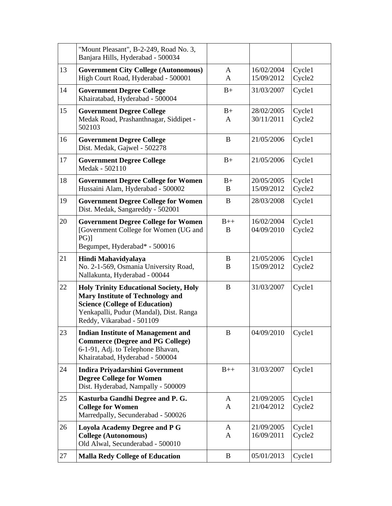|    | "Mount Pleasant", B-2-249, Road No. 3,<br>Banjara Hills, Hyderabad - 500034                                                                                                                               |                              |                          |                  |
|----|-----------------------------------------------------------------------------------------------------------------------------------------------------------------------------------------------------------|------------------------------|--------------------------|------------------|
| 13 | <b>Government City College (Autonomous)</b><br>High Court Road, Hyderabad - 500001                                                                                                                        | A<br>A                       | 16/02/2004<br>15/09/2012 | Cycle1<br>Cycle2 |
| 14 | <b>Government Degree College</b><br>Khairatabad, Hyderabad - 500004                                                                                                                                       | $B+$                         | 31/03/2007               | Cycle1           |
| 15 | <b>Government Degree College</b><br>Medak Road, Prashanthnagar, Siddipet -<br>502103                                                                                                                      | $B+$<br>A                    | 28/02/2005<br>30/11/2011 | Cycle1<br>Cycle2 |
| 16 | <b>Government Degree College</b><br>Dist. Medak, Gajwel - 502278                                                                                                                                          | B                            | 21/05/2006               | Cycle1           |
| 17 | <b>Government Degree College</b><br>Medak - 502110                                                                                                                                                        | $B+$                         | 21/05/2006               | Cycle1           |
| 18 | <b>Government Degree College for Women</b><br>Hussaini Alam, Hyderabad - 500002                                                                                                                           | $B+$<br>B                    | 20/05/2005<br>15/09/2012 | Cycle1<br>Cycle2 |
| 19 | <b>Government Degree College for Women</b><br>Dist. Medak, Sangareddy - 502001                                                                                                                            | B                            | 28/03/2008               | Cycle1           |
| 20 | <b>Government Degree College for Women</b><br>[Government College for Women (UG and<br>$PG)$ ]<br>Begumpet, Hyderabad* - 500016                                                                           | $B++$<br>B                   | 16/02/2004<br>04/09/2010 | Cycle1<br>Cycle2 |
| 21 | Hindi Mahavidyalaya<br>No. 2-1-569, Osmania University Road,<br>Nallakunta, Hyderabad - 00044                                                                                                             | B<br>B                       | 21/05/2006<br>15/09/2012 | Cycle1<br>Cycle2 |
|    |                                                                                                                                                                                                           |                              |                          |                  |
| 22 | <b>Holy Trinity Educational Society, Holy</b><br><b>Mary Institute of Technology and</b><br><b>Science (College of Education)</b><br>Yenkapalli, Pudur (Mandal), Dist. Ranga<br>Reddy, Vikarabad - 501109 | B                            | 31/03/2007               | Cycle1           |
| 23 | <b>Indian Institute of Management and</b><br><b>Commerce (Degree and PG College)</b><br>6-1-91, Adj. to Telephone Bhavan,<br>Khairatabad, Hyderabad - 500004                                              | B                            | 04/09/2010               | Cycle1           |
| 24 | <b>Indira Priyadarshini Government</b><br><b>Degree College for Women</b><br>Dist. Hyderabad, Nampally - 500009                                                                                           | $B++$                        | 31/03/2007               | Cycle1           |
| 25 | Kasturba Gandhi Degree and P. G.<br><b>College for Women</b><br>Marredpally, Secunderabad - 500026                                                                                                        | A<br>A                       | 21/09/2005<br>21/04/2012 | Cycle1<br>Cycle2 |
| 26 | <b>Loyola Academy Degree and P G</b><br><b>College (Autonomous)</b><br>Old Alwal, Secunderabad - 500010                                                                                                   | $\mathbf{A}$<br>$\mathbf{A}$ | 21/09/2005<br>16/09/2011 | Cycle1<br>Cycle2 |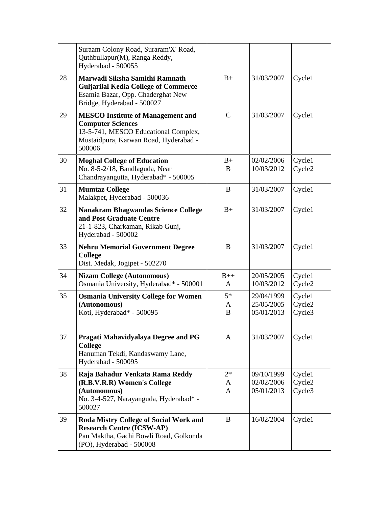|    | Suraam Colony Road, Suraram'X' Road,<br>Quthbullapur(M), Ranga Reddy,<br>Hyderabad - 500055                                                                     |                           |                                        |                            |
|----|-----------------------------------------------------------------------------------------------------------------------------------------------------------------|---------------------------|----------------------------------------|----------------------------|
| 28 | Marwadi Siksha Samithi Ramnath<br><b>Guljarilal Kedia College of Commerce</b><br>Esamia Bazar, Opp. Chaderghat New<br>Bridge, Hyderabad - 500027                | $B+$                      | 31/03/2007                             | Cycle1                     |
| 29 | <b>MESCO</b> Institute of Management and<br><b>Computer Sciences</b><br>13-5-741, MESCO Educational Complex,<br>Mustaidpura, Karwan Road, Hyderabad -<br>500006 | $\mathcal{C}$             | 31/03/2007                             | Cycle1                     |
| 30 | <b>Moghal College of Education</b><br>No. 8-5-2/18, Bandlaguda, Near<br>Chandrayangutta, Hyderabad* - 500005                                                    | $B+$<br>B                 | 02/02/2006<br>10/03/2012               | Cycle1<br>Cycle2           |
| 31 | <b>Mumtaz College</b><br>Malakpet, Hyderabad - 500036                                                                                                           | B                         | 31/03/2007                             | Cycle1                     |
| 32 | <b>Nanakram Bhagwandas Science College</b><br>and Post Graduate Centre<br>21-1-823, Charkaman, Rikab Gunj,<br>Hyderabad - 500002                                | $B+$                      | 31/03/2007                             | Cycle1                     |
| 33 | <b>Nehru Memorial Government Degree</b><br><b>College</b><br>Dist. Medak, Jogipet - 502270                                                                      | B                         | 31/03/2007                             | Cycle1                     |
| 34 | <b>Nizam College (Autonomous)</b><br>Osmania University, Hyderabad* - 500001                                                                                    | $B++$<br>$\mathsf{A}$     | 20/05/2005<br>10/03/2012               | Cycle1<br>Cycle2           |
| 35 | <b>Osmania University College for Women</b><br>(Autonomous)<br>Koti, Hyderabad* - 500095                                                                        | $5*$<br>A<br>B            | 29/04/1999<br>25/05/2005<br>05/01/2013 | Cycle1<br>Cycle2<br>Cycle3 |
| 37 | Pragati Mahavidyalaya Degree and PG<br><b>College</b><br>Hanuman Tekdi, Kandaswamy Lane,<br>Hyderabad - 500095                                                  | A                         | 31/03/2007                             | Cycle1                     |
| 38 | Raja Bahadur Venkata Rama Reddy<br>(R.B.V.R.R) Women's College<br>(Autonomous)<br>No. 3-4-527, Narayanguda, Hyderabad* -<br>500027                              | $2*$<br>A<br>$\mathbf{A}$ | 09/10/1999<br>02/02/2006<br>05/01/2013 | Cycle1<br>Cycle2<br>Cycle3 |
| 39 | Roda Mistry College of Social Work and<br><b>Research Centre (ICSW-AP)</b><br>Pan Maktha, Gachi Bowli Road, Golkonda<br>(PO), Hyderabad - 500008                | B                         | 16/02/2004                             | Cycle1                     |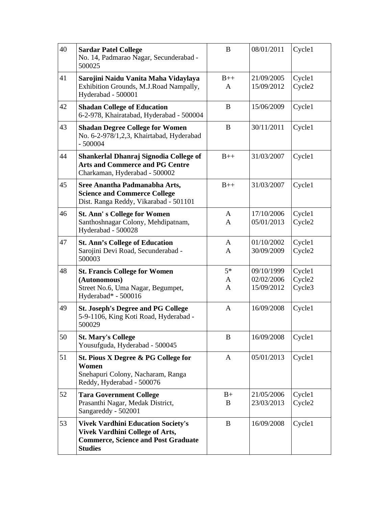| 40 | <b>Sardar Patel College</b><br>No. 14, Padmarao Nagar, Secunderabad -<br>500025                                                                     | B                 | 08/01/2011                             | Cycle1                     |
|----|-----------------------------------------------------------------------------------------------------------------------------------------------------|-------------------|----------------------------------------|----------------------------|
| 41 | Sarojini Naidu Vanita Maha Vidaylaya<br>Exhibition Grounds, M.J.Road Nampally,<br>Hyderabad - 500001                                                | $B++$<br>A        | 21/09/2005<br>15/09/2012               | Cycle1<br>Cycle2           |
| 42 | <b>Shadan College of Education</b><br>6-2-978, Khairatabad, Hyderabad - 500004                                                                      | B                 | 15/06/2009                             | Cycle1                     |
| 43 | <b>Shadan Degree College for Women</b><br>No. 6-2-978/1,2,3, Khairtabad, Hyderabad<br>$-500004$                                                     | B                 | 30/11/2011                             | Cycle1                     |
| 44 | Shankerlal Dhanraj Signodia College of<br><b>Arts and Commerce and PG Centre</b><br>Charkaman, Hyderabad - 500002                                   | $B++$             | 31/03/2007                             | Cycle1                     |
| 45 | Sree Anantha Padmanabha Arts,<br><b>Science and Commerce College</b><br>Dist. Ranga Reddy, Vikarabad - 501101                                       | $B++$             | 31/03/2007                             | Cycle1                     |
| 46 | <b>St. Ann's College for Women</b><br>Santhoshnagar Colony, Mehdipatnam,<br>Hyderabad - 500028                                                      | $\mathsf{A}$<br>A | 17/10/2006<br>05/01/2013               | Cycle1<br>Cycle2           |
| 47 | <b>St. Ann's College of Education</b><br>Sarojini Devi Road, Secunderabad -<br>500003                                                               | A<br>A            | 01/10/2002<br>30/09/2009               | Cycle1<br>Cycle2           |
| 48 | <b>St. Francis College for Women</b><br>(Autonomous)<br>Street No.6, Uma Nagar, Begumpet,<br>Hyderabad* - 500016                                    | $5*$<br>A<br>A    | 09/10/1999<br>02/02/2006<br>15/09/2012 | Cycle1<br>Cycle2<br>Cycle3 |
| 49 | <b>St. Joseph's Degree and PG College</b><br>5-9-1106, King Koti Road, Hyderabad -<br>500029                                                        | A                 | 16/09/2008                             | Cycle1                     |
| 50 | <b>St. Mary's College</b><br>Yousufguda, Hyderabad - 500045                                                                                         | B                 | 16/09/2008                             | Cycle1                     |
| 51 | St. Pious X Degree & PG College for<br>Women<br>Snehapuri Colony, Nacharam, Ranga<br>Reddy, Hyderabad - 500076                                      | $\mathbf{A}$      | 05/01/2013                             | Cycle1                     |
| 52 | <b>Tara Government College</b><br>Prasanthi Nagar, Medak District,<br>Sangareddy - 502001                                                           | $B+$<br>B         | 21/05/2006<br>23/03/2013               | Cycle1<br>Cycle2           |
| 53 | <b>Vivek Vardhini Education Society's</b><br><b>Vivek Vardhini College of Arts,</b><br><b>Commerce, Science and Post Graduate</b><br><b>Studies</b> | B                 | 16/09/2008                             | Cycle1                     |